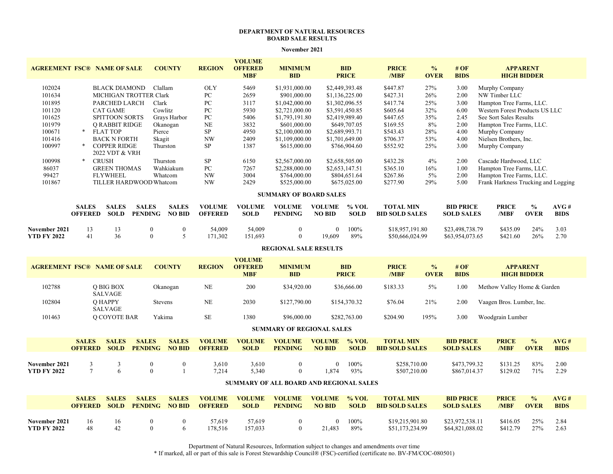## **DEPARTMENT OF NATURAL RESOURCES BOARD SALE RESULTS**

**November 2021**

| <b>AGREEMENT FSC® NAME OF SALE</b>  |                                                      |                                                                                       |                                | <b>COUNTY</b>                 | <b>REGION</b>                   | <b>VOLUME</b><br><b>OFFERED</b>               | <b>MINIMUM</b>                          |                                | <b>BID</b>                 | <b>PRICE</b>                              | $\frac{0}{0}$                 | #OF                                   |                                     | <b>APPARENT</b>                       |                     |
|-------------------------------------|------------------------------------------------------|---------------------------------------------------------------------------------------|--------------------------------|-------------------------------|---------------------------------|-----------------------------------------------|-----------------------------------------|--------------------------------|----------------------------|-------------------------------------------|-------------------------------|---------------------------------------|-------------------------------------|---------------------------------------|---------------------|
|                                     |                                                      |                                                                                       |                                |                               |                                 | <b>MBF</b>                                    | <b>BID</b>                              |                                | <b>PRICE</b>               | /MBF                                      | <b>OVER</b>                   | <b>BIDS</b>                           |                                     | <b>HIGH BIDDER</b>                    |                     |
| 102024                              |                                                      | <b>BLACK DIAMOND</b>                                                                  |                                | Clallam                       | <b>OLY</b>                      | 5469                                          | \$1,931,000.00                          |                                | \$2,449,393.48             | \$447.87                                  | 27%                           | 3.00                                  | Murphy Company                      |                                       |                     |
| 101634                              |                                                      | MICHIGAN TROTTER Clark                                                                |                                | ${\rm P}{\bf C}$              | 2659                            | \$901,000.00                                  |                                         | \$1,136,225.00                 | \$427.31                   | 26%                                       | 2.00                          | NW Timber LLC                         |                                     |                                       |                     |
| 101895                              |                                                      | PARCHED LARCH<br>Clark                                                                |                                | PC                            | 3117                            | \$1,042,000.00                                |                                         | \$1,302,096.55                 | \$417.74                   | 25%                                       | 3.00                          | Hampton Tree Farms, LLC.              |                                     |                                       |                     |
| 101120                              |                                                      | Cowlitz<br><b>CAT GAME</b>                                                            |                                | ${\rm P}{\bf C}$              | 5930<br>\$2,721,000.00          |                                               |                                         | \$3,591,450.85                 | \$605.64                   | 32%                                       | 6.00                          |                                       | Western Forest Products US LLC      |                                       |                     |
| 101625                              | <b>SPITTOON SORTS</b><br>Grays Harbor                |                                                                                       | PC                             | 5406<br>\$1,793,191.80        |                                 |                                               | \$2,419,989.40                          | \$447.65                       | 35%                        | 2.45                                      | See Sort Sales Results        |                                       |                                     |                                       |                     |
| 101979                              | <b>O RABBIT RIDGE</b><br>Okanogan                    |                                                                                       |                                | $\rm NE$                      | 3832<br>\$601,000.00            |                                               |                                         | \$649,707.05                   | \$169.55                   | 8%                                        | 2.00                          |                                       | Hampton Tree Farms, LLC.            |                                       |                     |
| 100671                              | <b>FLAT TOP</b><br>$*$<br>Pierce<br>Skagit           |                                                                                       |                                | ${\rm SP}$                    | 4950<br>\$2,100,000.00          |                                               |                                         | \$2,689,993.71                 | \$543.43                   | 28%                                       | 4.00                          | Murphy Company                        |                                     |                                       |                     |
| 101416<br>100997                    | <b>BACK N FORTH</b><br>$\ast$                        |                                                                                       |                                |                               | NW                              | 2409                                          | \$1,109,000.00                          |                                | \$1,701,649.00             | \$706.37<br>\$552.92                      | 53%<br>25%                    | 4.00                                  | Nielsen Brothers, Inc.              |                                       |                     |
|                                     |                                                      | $\ensuremath{\mathrm{SP}}$<br><b>COPPER RIDGE</b><br>Thurston<br>1387<br>\$615,000.00 |                                |                               | \$766,904.60                    |                                               |                                         | 3.00                           | Murphy Company             |                                           |                               |                                       |                                     |                                       |                     |
| 100998                              | 2022 VDT & VRH<br>$\ast$<br><b>CRUSH</b><br>Thurston |                                                                                       |                                | ${\rm SP}$                    | 6150<br>\$2,567,000.00          |                                               |                                         | \$2,658,505.00                 | \$432.28                   | 4%                                        | 2.00                          | Cascade Hardwood, LLC                 |                                     |                                       |                     |
| 86037                               |                                                      | Wahkiakum<br><b>GREEN THOMAS</b>                                                      |                                |                               | ${\rm P}{\bf C}$                |                                               | 7267<br>\$2,288,000.00                  |                                | \$2,653,147.51             | \$365.10                                  | 16%                           | 1.00                                  | Hampton Tree Farms, LLC.            |                                       |                     |
| 99427                               |                                                      | <b>FLYWHEEL</b><br>Whatcom                                                            |                                |                               | NW                              | 3004                                          | \$764,000.00                            |                                | \$804,651.64               | \$267.86                                  | $5\%$                         | 2.00                                  | Hampton Tree Farms, LLC.            |                                       |                     |
| 101867                              |                                                      |                                                                                       | TILLER HARDWOOD Whatcom        |                               | <b>NW</b>                       | 2429                                          | \$525,000.00                            |                                | \$675,025.00               | \$277.90                                  | 29%                           | 5.00                                  | Frank Harkness Trucking and Logging |                                       |                     |
| <b>SUMMARY OF BOARD SALES</b>       |                                                      |                                                                                       |                                |                               |                                 |                                               |                                         |                                |                            |                                           |                               |                                       |                                     |                                       |                     |
|                                     | <b>SALES</b><br><b>OFFERED</b>                       | <b>SALES</b><br><b>SOLD</b>                                                           | <b>SALES</b><br><b>PENDING</b> | <b>SALES</b><br><b>NO BID</b> | <b>VOLUME</b><br><b>OFFERED</b> | <b>VOLUME</b><br><b>SOLD</b>                  | <b>VOLUME</b><br><b>PENDING</b>         | <b>VOLUME</b><br><b>NO BID</b> | % VOL<br><b>SOLD</b>       | <b>TOTAL MIN</b><br><b>BID SOLD SALES</b> |                               | <b>BID PRICE</b><br><b>SOLD SALES</b> | <b>PRICE</b><br>/MBF                | $\frac{0}{0}$<br><b>OVER</b>          | AVG#<br><b>BIDS</b> |
| November 2021<br><b>YTD FY 2022</b> | 13<br>41                                             | 13<br>36                                                                              | $\mathbf{0}$<br>$\theta$       | $\mathbf{0}$<br>5             | 54.009<br>171,302               | 54,009<br>151,693                             | $\boldsymbol{0}$<br>$\mathbf{0}$        | $\theta$<br>19,609             | 100%<br>89%                | \$18,957,191.80<br>\$50,666,024.99        |                               | \$23,498,738.79<br>\$63,954,073.65    | \$435.09<br>\$421.60                | 24%<br>26%                            | 3.03<br>2.70        |
| <b>REGIONAL SALE RESULTS</b>        |                                                      |                                                                                       |                                |                               |                                 |                                               |                                         |                                |                            |                                           |                               |                                       |                                     |                                       |                     |
| <b>AGREEMENT FSC® NAME OF SALE</b>  |                                                      |                                                                                       |                                | <b>COUNTY</b>                 | <b>REGION</b>                   | <b>VOLUME</b><br><b>OFFERED</b><br><b>MBF</b> | <b>MINIMUM</b><br><b>BID</b>            |                                | <b>BID</b><br><b>PRICE</b> | <b>PRICE</b><br>/MBF                      | $\frac{6}{10}$<br><b>OVER</b> | #OF<br><b>BIDS</b>                    |                                     | <b>APPARENT</b><br><b>HIGH BIDDER</b> |                     |
| 102788                              |                                                      | <b>O BIG BOX</b><br>SALVAGE                                                           |                                | Okanogan                      | $\rm NE$                        | 200                                           | \$34,920.00                             |                                | \$36,666.00                | \$183.33                                  | 5%                            | 1.00                                  | Methow Valley Home & Garden         |                                       |                     |
| 102804                              |                                                      | O HAPPY<br><b>SALVAGE</b>                                                             |                                | Stevens                       | NE                              | 2030                                          | \$127,790.00                            |                                | \$154,370.32               | \$76.04                                   | 21%                           | 2.00                                  | Vaagen Bros. Lumber, Inc.           |                                       |                     |
| 101463                              |                                                      | <b>O COYOTE BAR</b>                                                                   |                                | Yakima                        | $\rm SE$                        | 1380                                          | \$96,000.00                             |                                | \$282,763.00               | \$204.90                                  | 195%                          | 3.00                                  | Woodgrain Lumber                    |                                       |                     |
| <b>SUMMARY OF REGIONAL SALES</b>    |                                                      |                                                                                       |                                |                               |                                 |                                               |                                         |                                |                            |                                           |                               |                                       |                                     |                                       |                     |
|                                     | <b>SALES</b><br><b>OFFERED</b>                       | <b>SALES</b><br><b>SOLD</b>                                                           | <b>SALES</b><br><b>PENDING</b> | <b>SALES</b><br><b>NO BID</b> | <b>VOLUME</b><br><b>OFFERED</b> | <b>VOLUME</b><br><b>SOLD</b>                  | <b>VOLUME</b><br><b>PENDING</b>         | <b>VOLUME</b><br><b>NO BID</b> | % VOL<br><b>SOLD</b>       | <b>TOTAL MIN</b><br><b>BID SOLD SALES</b> |                               | <b>BID PRICE</b><br><b>SOLD SALES</b> | <b>PRICE</b><br>/MBF                | $\frac{0}{0}$<br><b>OVER</b>          | AVG#<br><b>BIDS</b> |
| November 2021                       | $\mathfrak{Z}$                                       | $\mathfrak z$                                                                         | $\boldsymbol{0}$               | $\boldsymbol{0}$              | 3,610                           | 3,610                                         | $\boldsymbol{0}$                        | $\theta$                       | 100%                       | \$258,710.00                              |                               | \$473,799.32                          | \$131.25                            | 83%                                   | 2.00                |
| <b>YTD FY 2022</b>                  | $\overline{7}$                                       | 6                                                                                     | $\theta$                       | $\overline{1}$                | 7,214                           | 5,340                                         | $\mathbf{0}$                            | 1,874                          | 93%                        | \$507,210.00                              |                               | \$867,014.37                          | \$129.02                            | 71%                                   | 2.29                |
|                                     |                                                      |                                                                                       |                                |                               |                                 |                                               | SUMMARY OF ALL BOARD AND REGIONAL SALES |                                |                            |                                           |                               |                                       |                                     |                                       |                     |
|                                     | <b>SALES</b><br><b>OFFERED</b>                       | <b>SALES</b><br><b>SOLD</b>                                                           | <b>SALES</b><br><b>PENDING</b> | <b>SALES</b><br><b>NO BID</b> | <b>VOLUME</b><br><b>OFFERED</b> | <b>VOLUME</b><br><b>SOLD</b>                  | <b>VOLUME</b><br><b>PENDING</b>         | <b>VOLUME</b><br><b>NO BID</b> | % VOL<br><b>SOLD</b>       | <b>TOTAL MIN</b><br><b>BID SOLD SALES</b> |                               | <b>BID PRICE</b><br><b>SOLD SALES</b> | <b>PRICE</b><br>/MBF                | $\frac{0}{0}$<br><b>OVER</b>          | AVG#<br><b>BIDS</b> |
|                                     |                                                      |                                                                                       |                                |                               |                                 |                                               |                                         |                                |                            |                                           |                               |                                       |                                     |                                       |                     |

Department of Natural Resources, Information subject to changes and amendments over time

16 16 0 0 57,619 57,619 0 0 100% \$19,215,901.80 \$23,972,538.11 \$416.05 25% 2.84

48 42 0 6 178,516 157,033 0 21,483 89% \$51,173,234.99 \$64,821,088.02 \$412.79 27% 2.63

**November 2021**

**YTD FY 2022**

\* If marked, all or part of this sale is Forest Stewardship Council® (FSC)-certified (certificate no. BV-FM/COC-080501)